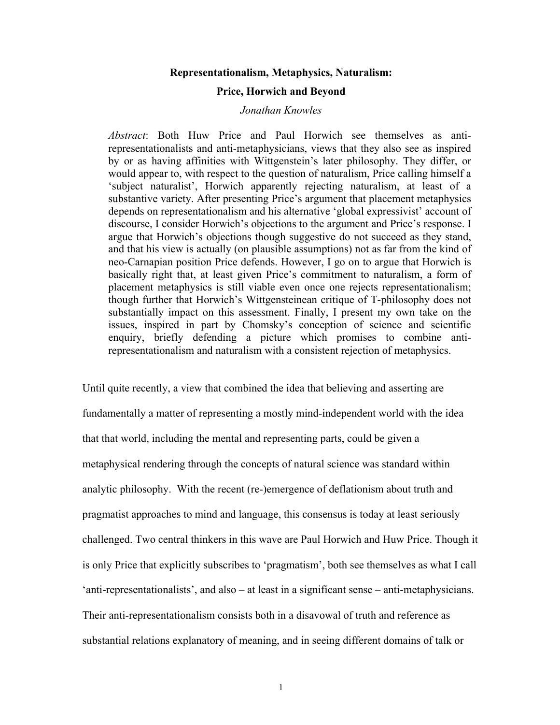# **Representationalism, Metaphysics, Naturalism:**

## **Price, Horwich and Beyond**

# *Jonathan Knowles*

*Abstract*: Both Huw Price and Paul Horwich see themselves as antirepresentationalists and anti-metaphysicians, views that they also see as inspired by or as having affinities with Wittgenstein's later philosophy. They differ, or would appear to, with respect to the question of naturalism, Price calling himself a 'subject naturalist', Horwich apparently rejecting naturalism, at least of a substantive variety. After presenting Price's argument that placement metaphysics depends on representationalism and his alternative 'global expressivist' account of discourse, I consider Horwich's objections to the argument and Price's response. I argue that Horwich's objections though suggestive do not succeed as they stand, and that his view is actually (on plausible assumptions) not as far from the kind of neo-Carnapian position Price defends. However, I go on to argue that Horwich is basically right that, at least given Price's commitment to naturalism, a form of placement metaphysics is still viable even once one rejects representationalism; though further that Horwich's Wittgensteinean critique of T-philosophy does not substantially impact on this assessment. Finally, I present my own take on the issues, inspired in part by Chomsky's conception of science and scientific enquiry, briefly defending a picture which promises to combine antirepresentationalism and naturalism with a consistent rejection of metaphysics.

Until quite recently, a view that combined the idea that believing and asserting are fundamentally a matter of representing a mostly mind-independent world with the idea that that world, including the mental and representing parts, could be given a metaphysical rendering through the concepts of natural science was standard within analytic philosophy. With the recent (re-)emergence of deflationism about truth and pragmatist approaches to mind and language, this consensus is today at least seriously challenged. Two central thinkers in this wave are Paul Horwich and Huw Price. Though it is only Price that explicitly subscribes to 'pragmatism', both see themselves as what I call 'anti-representationalists', and also – at least in a significant sense – anti-metaphysicians. Their anti-representationalism consists both in a disavowal of truth and reference as substantial relations explanatory of meaning, and in seeing different domains of talk or

1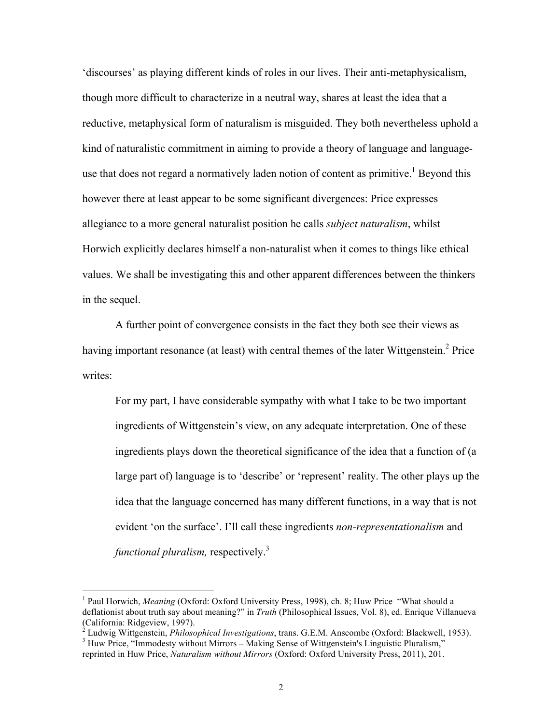'discourses' as playing different kinds of roles in our lives. Their anti-metaphysicalism, though more difficult to characterize in a neutral way, shares at least the idea that a reductive, metaphysical form of naturalism is misguided. They both nevertheless uphold a kind of naturalistic commitment in aiming to provide a theory of language and languageuse that does not regard a normatively laden notion of content as primitive.<sup>1</sup> Beyond this however there at least appear to be some significant divergences: Price expresses allegiance to a more general naturalist position he calls *subject naturalism*, whilst Horwich explicitly declares himself a non-naturalist when it comes to things like ethical values. We shall be investigating this and other apparent differences between the thinkers in the sequel.

A further point of convergence consists in the fact they both see their views as having important resonance (at least) with central themes of the later Wittgenstein.<sup>2</sup> Price writes:

For my part, I have considerable sympathy with what I take to be two important ingredients of Wittgenstein's view, on any adequate interpretation. One of these ingredients plays down the theoretical significance of the idea that a function of (a large part of) language is to 'describe' or 'represent' reality. The other plays up the idea that the language concerned has many different functions, in a way that is not evident 'on the surface'. I'll call these ingredients *non-representationalism* and *functional pluralism, respectively.*<sup>3</sup>

 $\frac{1}{1}$ <sup>1</sup> Paul Horwich, *Meaning* (Oxford: Oxford University Press, 1998), ch. 8; Huw Price "What should a deflationist about truth say about meaning?" in *Truth* (Philosophical Issues, Vol. 8), ed. Enrique Villanueva (California: Ridgeview, 1997). <sup>2</sup>

<sup>&</sup>lt;sup>2</sup> Ludwig Wittgenstein, *Philosophical Investigations*, trans. G.E.M. Anscombe (Oxford: Blackwell, 1953).

<sup>&</sup>lt;sup>3</sup> Huw Price, "Immodesty without Mirrors – Making Sense of Wittgenstein's Linguistic Pluralism," reprinted in Huw Price, *Naturalism without Mirrors* (Oxford: Oxford University Press, 2011), 201.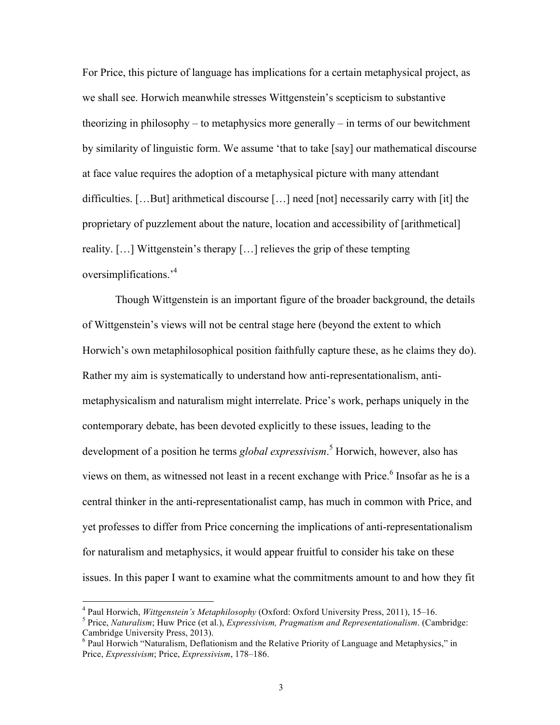For Price, this picture of language has implications for a certain metaphysical project, as we shall see. Horwich meanwhile stresses Wittgenstein's scepticism to substantive theorizing in philosophy – to metaphysics more generally – in terms of our bewitchment by similarity of linguistic form. We assume 'that to take [say] our mathematical discourse at face value requires the adoption of a metaphysical picture with many attendant difficulties. […But] arithmetical discourse […] need [not] necessarily carry with [it] the proprietary of puzzlement about the nature, location and accessibility of [arithmetical] reality. […] Wittgenstein's therapy […] relieves the grip of these tempting oversimplifications.' 4

Though Wittgenstein is an important figure of the broader background, the details of Wittgenstein's views will not be central stage here (beyond the extent to which Horwich's own metaphilosophical position faithfully capture these, as he claims they do). Rather my aim is systematically to understand how anti-representationalism, antimetaphysicalism and naturalism might interrelate. Price's work, perhaps uniquely in the contemporary debate, has been devoted explicitly to these issues, leading to the development of a position he terms *global expressivism*. 5 Horwich, however, also has views on them, as witnessed not least in a recent exchange with Price.<sup>6</sup> Insofar as he is a central thinker in the anti-representationalist camp, has much in common with Price, and yet professes to differ from Price concerning the implications of anti-representationalism for naturalism and metaphysics, it would appear fruitful to consider his take on these issues. In this paper I want to examine what the commitments amount to and how they fit

 $\frac{1}{4}$ Paul Horwich, *Wittgenstein's Metaphilosophy* (Oxford: Oxford University Press, 2011), 15–16. <sup>5</sup>

Price, *Naturalism*; Huw Price (et al.), *Expressivism, Pragmatism and Representationalism*. (Cambridge: Cambridge University Press, 2013).

<sup>&</sup>lt;sup>6</sup> Paul Horwich "Naturalism, Deflationism and the Relative Priority of Language and Metaphysics," in Price, *Expressivism*; Price, *Expressivism*, 178–186.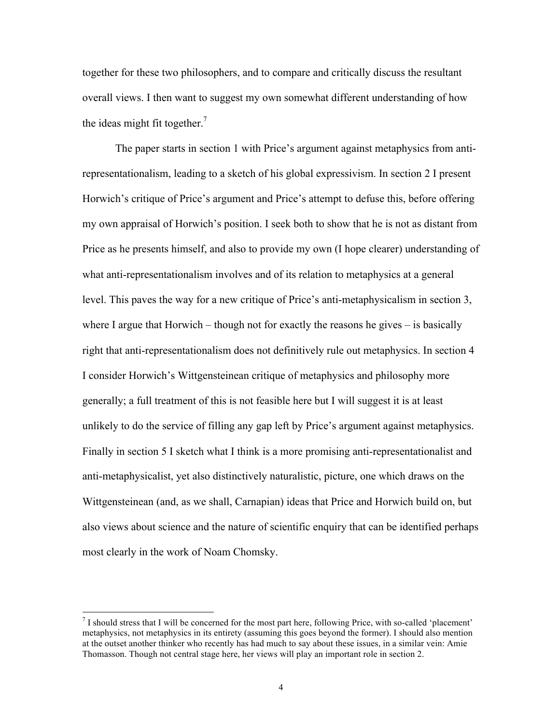together for these two philosophers, and to compare and critically discuss the resultant overall views. I then want to suggest my own somewhat different understanding of how the ideas might fit together.<sup>7</sup>

The paper starts in section 1 with Price's argument against metaphysics from antirepresentationalism, leading to a sketch of his global expressivism. In section 2 I present Horwich's critique of Price's argument and Price's attempt to defuse this, before offering my own appraisal of Horwich's position. I seek both to show that he is not as distant from Price as he presents himself, and also to provide my own (I hope clearer) understanding of what anti-representationalism involves and of its relation to metaphysics at a general level. This paves the way for a new critique of Price's anti-metaphysicalism in section 3, where I argue that Horwich – though not for exactly the reasons he gives – is basically right that anti-representationalism does not definitively rule out metaphysics. In section 4 I consider Horwich's Wittgensteinean critique of metaphysics and philosophy more generally; a full treatment of this is not feasible here but I will suggest it is at least unlikely to do the service of filling any gap left by Price's argument against metaphysics. Finally in section 5 I sketch what I think is a more promising anti-representationalist and anti-metaphysicalist, yet also distinctively naturalistic, picture, one which draws on the Wittgensteinean (and, as we shall, Carnapian) ideas that Price and Horwich build on, but also views about science and the nature of scientific enquiry that can be identified perhaps most clearly in the work of Noam Chomsky.

<sup>-&</sup>lt;br>7  $<sup>7</sup>$  I should stress that I will be concerned for the most part here, following Price, with so-called 'placement'</sup> metaphysics, not metaphysics in its entirety (assuming this goes beyond the former). I should also mention at the outset another thinker who recently has had much to say about these issues, in a similar vein: Amie Thomasson. Though not central stage here, her views will play an important role in section 2.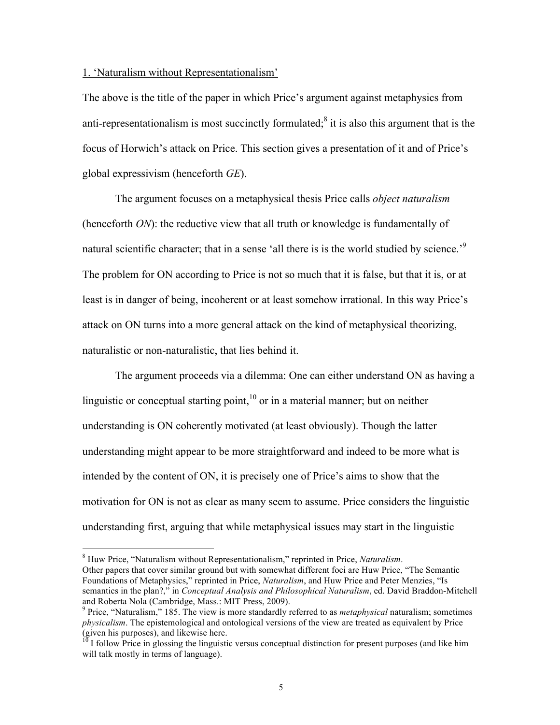1. 'Naturalism without Representationalism'

The above is the title of the paper in which Price's argument against metaphysics from anti-representationalism is most succinctly formulated; $\delta$  it is also this argument that is the focus of Horwich's attack on Price. This section gives a presentation of it and of Price's global expressivism (henceforth *GE*).

The argument focuses on a metaphysical thesis Price calls *object naturalism* (henceforth *ON*): the reductive view that all truth or knowledge is fundamentally of natural scientific character; that in a sense 'all there is is the world studied by science.<sup>9</sup> The problem for ON according to Price is not so much that it is false, but that it is, or at least is in danger of being, incoherent or at least somehow irrational. In this way Price's attack on ON turns into a more general attack on the kind of metaphysical theorizing, naturalistic or non-naturalistic, that lies behind it.

The argument proceeds via a dilemma: One can either understand ON as having a linguistic or conceptual starting point,  $10$  or in a material manner; but on neither understanding is ON coherently motivated (at least obviously). Though the latter understanding might appear to be more straightforward and indeed to be more what is intended by the content of ON, it is precisely one of Price's aims to show that the motivation for ON is not as clear as many seem to assume. Price considers the linguistic understanding first, arguing that while metaphysical issues may start in the linguistic

 <sup>8</sup> Huw Price, "Naturalism without Representationalism," reprinted in Price, *Naturalism*. Other papers that cover similar ground but with somewhat different foci are Huw Price, "The Semantic Foundations of Metaphysics," reprinted in Price, *Naturalism*, and Huw Price and Peter Menzies, "Is semantics in the plan?," in *Conceptual Analysis and Philosophical Naturalism*, ed. David Braddon-Mitchell and Roberta Nola (Cambridge, Mass.: MIT Press, 2009).

<sup>9</sup> Price, "Naturalism," 185. The view is more standardly referred to as *metaphysical* naturalism; sometimes *physicalism*. The epistemological and ontological versions of the view are treated as equivalent by Price (given his purposes), and likewise here.

 $10$  I follow Price in glossing the linguistic versus conceptual distinction for present purposes (and like him will talk mostly in terms of language).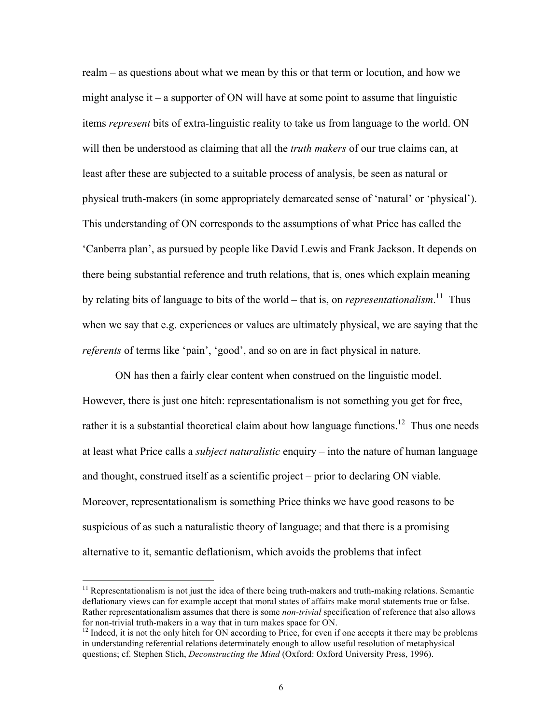realm – as questions about what we mean by this or that term or locution, and how we might analyse it – a supporter of  $ON$  will have at some point to assume that linguistic items *represent* bits of extra-linguistic reality to take us from language to the world. ON will then be understood as claiming that all the *truth makers* of our true claims can, at least after these are subjected to a suitable process of analysis, be seen as natural or physical truth-makers (in some appropriately demarcated sense of 'natural' or 'physical'). This understanding of ON corresponds to the assumptions of what Price has called the 'Canberra plan', as pursued by people like David Lewis and Frank Jackson. It depends on there being substantial reference and truth relations, that is, ones which explain meaning by relating bits of language to bits of the world – that is, on *representationalism*. 11 Thus when we say that e.g. experiences or values are ultimately physical, we are saying that the *referents* of terms like 'pain', 'good', and so on are in fact physical in nature.

ON has then a fairly clear content when construed on the linguistic model. However, there is just one hitch: representationalism is not something you get for free, rather it is a substantial theoretical claim about how language functions.<sup>12</sup> Thus one needs at least what Price calls a *subject naturalistic* enquiry – into the nature of human language and thought, construed itself as a scientific project – prior to declaring ON viable. Moreover, representationalism is something Price thinks we have good reasons to be suspicious of as such a naturalistic theory of language; and that there is a promising alternative to it, semantic deflationism, which avoids the problems that infect

 $11$  Representationalism is not just the idea of there being truth-makers and truth-making relations. Semantic deflationary views can for example accept that moral states of affairs make moral statements true or false. Rather representationalism assumes that there is some *non-trivial* specification of reference that also allows for non-trivial truth-makers in a way that in turn makes space for ON.<br><sup>12</sup> Indeed, it is not the only hitch for ON according to Price, for even if one accepts it there may be problems

in understanding referential relations determinately enough to allow useful resolution of metaphysical questions; cf. Stephen Stich, *Deconstructing the Mind* (Oxford: Oxford University Press, 1996).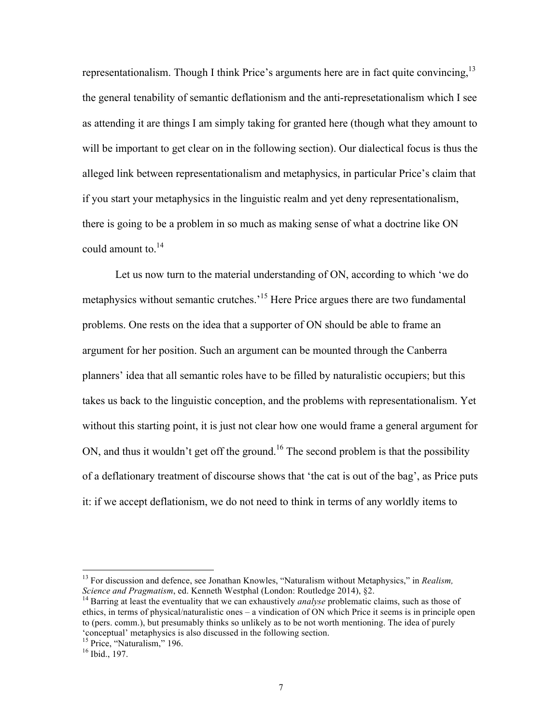representationalism. Though I think Price's arguments here are in fact quite convincing,  $13$ the general tenability of semantic deflationism and the anti-represetationalism which I see as attending it are things I am simply taking for granted here (though what they amount to will be important to get clear on in the following section). Our dialectical focus is thus the alleged link between representationalism and metaphysics, in particular Price's claim that if you start your metaphysics in the linguistic realm and yet deny representationalism, there is going to be a problem in so much as making sense of what a doctrine like ON could amount to.<sup>14</sup>

Let us now turn to the material understanding of ON, according to which 'we do metaphysics without semantic crutches.<sup>15</sup> Here Price argues there are two fundamental problems. One rests on the idea that a supporter of ON should be able to frame an argument for her position. Such an argument can be mounted through the Canberra planners' idea that all semantic roles have to be filled by naturalistic occupiers; but this takes us back to the linguistic conception, and the problems with representationalism. Yet without this starting point, it is just not clear how one would frame a general argument for ON, and thus it wouldn't get off the ground.<sup>16</sup> The second problem is that the possibility of a deflationary treatment of discourse shows that 'the cat is out of the bag', as Price puts it: if we accept deflationism, we do not need to think in terms of any worldly items to

<sup>&</sup>lt;sup>13</sup> For discussion and defence, see Jonathan Knowles, "Naturalism without Metaphysics," in *Realism*, *Science and Pragmatism*, ed. Kenneth Westphal (London: Routledge 2014), §2.

<sup>&</sup>lt;sup>14</sup> Barring at least the eventuality that we can exhaustively *analyse* problematic claims, such as those of ethics, in terms of physical/naturalistic ones – a vindication of ON which Price it seems is in principle open to (pers. comm.), but presumably thinks so unlikely as to be not worth mentioning. The idea of purely 'conceptual' metaphysics is also discussed in the following section.

 $15$  Price, "Naturalism," 196.<br> $16$  Ibid., 197.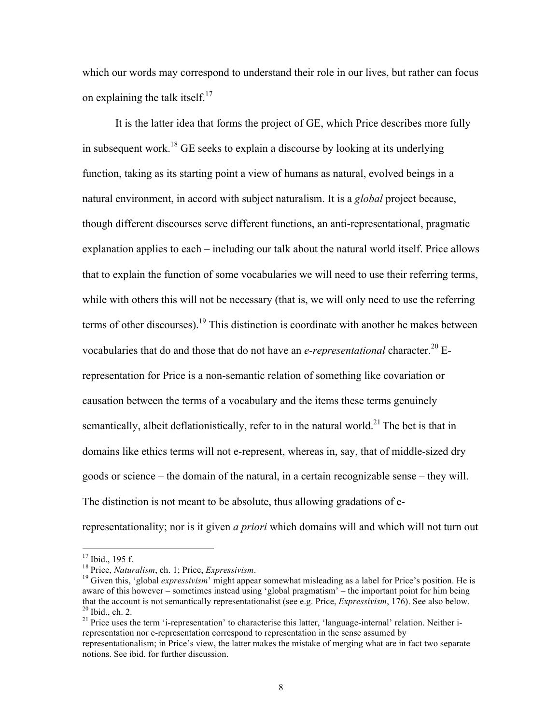which our words may correspond to understand their role in our lives, but rather can focus on explaining the talk itself. $17$ 

It is the latter idea that forms the project of GE, which Price describes more fully in subsequent work.<sup>18</sup> GE seeks to explain a discourse by looking at its underlying function, taking as its starting point a view of humans as natural, evolved beings in a natural environment, in accord with subject naturalism. It is a *global* project because, though different discourses serve different functions, an anti-representational, pragmatic explanation applies to each – including our talk about the natural world itself. Price allows that to explain the function of some vocabularies we will need to use their referring terms, while with others this will not be necessary (that is, we will only need to use the referring terms of other discourses).<sup>19</sup> This distinction is coordinate with another he makes between vocabularies that do and those that do not have an *e-representational* character.<sup>20</sup> Erepresentation for Price is a non-semantic relation of something like covariation or causation between the terms of a vocabulary and the items these terms genuinely semantically, albeit deflationistically, refer to in the natural world.<sup>21</sup> The bet is that in domains like ethics terms will not e-represent, whereas in, say, that of middle-sized dry goods or science – the domain of the natural, in a certain recognizable sense – they will. The distinction is not meant to be absolute, thus allowing gradations of e-

representationality; nor is it given *a priori* which domains will and which will not turn out

<sup>21</sup> Price uses the term 'i-representation' to characterise this latter, 'language-internal' relation. Neither irepresentation nor e-representation correspond to representation in the sense assumed by

representationalism; in Price's view, the latter makes the mistake of merging what are in fact two separate notions. See ibid. for further discussion.

 $17$  Ibid., 195 f.<br><sup>18</sup> Price, *Naturalism*, ch. 1; Price, *Expressivism*.

<sup>&</sup>lt;sup>19</sup> Given this, 'global *expressivism*' might appear somewhat misleading as a label for Price's position. He is aware of this however – sometimes instead using 'global pragmatism' – the important point for him being that the account is not semantically representationalist (see e.g. Price, *Expressivism*, 176). See also below. <sup>20</sup> Ibid., ch. 2.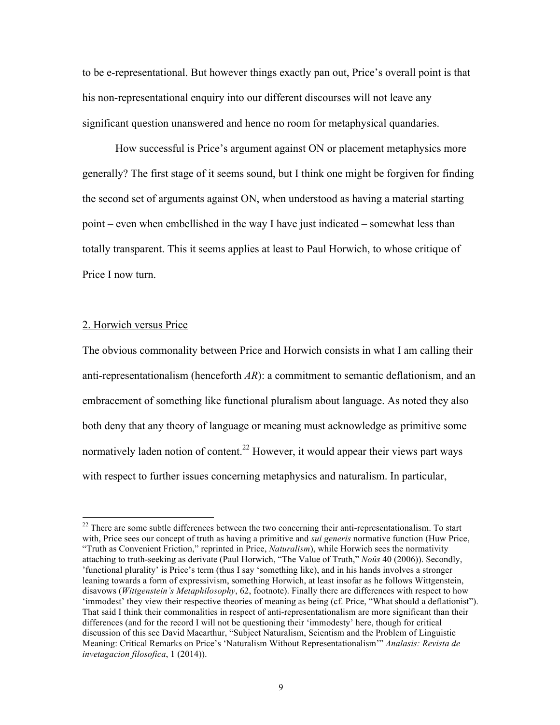to be e-representational. But however things exactly pan out, Price's overall point is that his non-representational enquiry into our different discourses will not leave any significant question unanswered and hence no room for metaphysical quandaries.

How successful is Price's argument against ON or placement metaphysics more generally? The first stage of it seems sound, but I think one might be forgiven for finding the second set of arguments against ON, when understood as having a material starting point – even when embellished in the way I have just indicated – somewhat less than totally transparent. This it seems applies at least to Paul Horwich, to whose critique of Price I now turn.

# 2. Horwich versus Price

The obvious commonality between Price and Horwich consists in what I am calling their anti-representationalism (henceforth *AR*): a commitment to semantic deflationism, and an embracement of something like functional pluralism about language. As noted they also both deny that any theory of language or meaning must acknowledge as primitive some normatively laden notion of content.<sup>22</sup> However, it would appear their views part ways with respect to further issues concerning metaphysics and naturalism. In particular,

 $22$  There are some subtle differences between the two concerning their anti-representationalism. To start with, Price sees our concept of truth as having a primitive and *sui generis* normative function (Huw Price, "Truth as Convenient Friction," reprinted in Price, *Naturalism*), while Horwich sees the normativity attaching to truth-seeking as derivate (Paul Horwich, "The Value of Truth," *Noûs* 40 (2006)). Secondly, 'functional plurality' is Price's term (thus I say 'something like), and in his hands involves a stronger leaning towards a form of expressivism, something Horwich, at least insofar as he follows Wittgenstein, disavows (*Wittgenstein's Metaphilosophy*, 62, footnote). Finally there are differences with respect to how 'immodest' they view their respective theories of meaning as being (cf. Price, "What should a deflationist"). That said I think their commonalities in respect of anti-representationalism are more significant than their differences (and for the record I will not be questioning their 'immodesty' here, though for critical discussion of this see David Macarthur, "Subject Naturalism, Scientism and the Problem of Linguistic Meaning: Critical Remarks on Price's 'Naturalism Without Representationalism'" *Analasis: Revista de invetagacion filosofica*, 1 (2014)).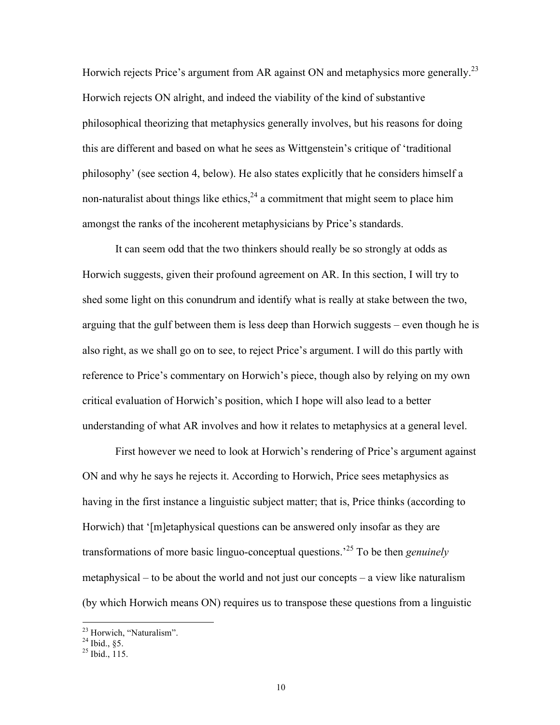Horwich rejects Price's argument from AR against ON and metaphysics more generally.<sup>23</sup> Horwich rejects ON alright, and indeed the viability of the kind of substantive philosophical theorizing that metaphysics generally involves, but his reasons for doing this are different and based on what he sees as Wittgenstein's critique of 'traditional philosophy' (see section 4, below). He also states explicitly that he considers himself a non-naturalist about things like ethics,  $24$  a commitment that might seem to place him amongst the ranks of the incoherent metaphysicians by Price's standards.

It can seem odd that the two thinkers should really be so strongly at odds as Horwich suggests, given their profound agreement on AR. In this section, I will try to shed some light on this conundrum and identify what is really at stake between the two, arguing that the gulf between them is less deep than Horwich suggests – even though he is also right, as we shall go on to see, to reject Price's argument. I will do this partly with reference to Price's commentary on Horwich's piece, though also by relying on my own critical evaluation of Horwich's position, which I hope will also lead to a better understanding of what AR involves and how it relates to metaphysics at a general level.

First however we need to look at Horwich's rendering of Price's argument against ON and why he says he rejects it. According to Horwich, Price sees metaphysics as having in the first instance a linguistic subject matter; that is, Price thinks (according to Horwich) that '[m]etaphysical questions can be answered only insofar as they are transformations of more basic linguo-conceptual questions.' 25 To be then *genuinely* metaphysical – to be about the world and not just our concepts – a view like naturalism (by which Horwich means ON) requires us to transpose these questions from a linguistic

 $^{23}$  Horwich, "Naturalism".

 $^{24}$  Ibid., §5.

 $^{25}$  Ibid., 115.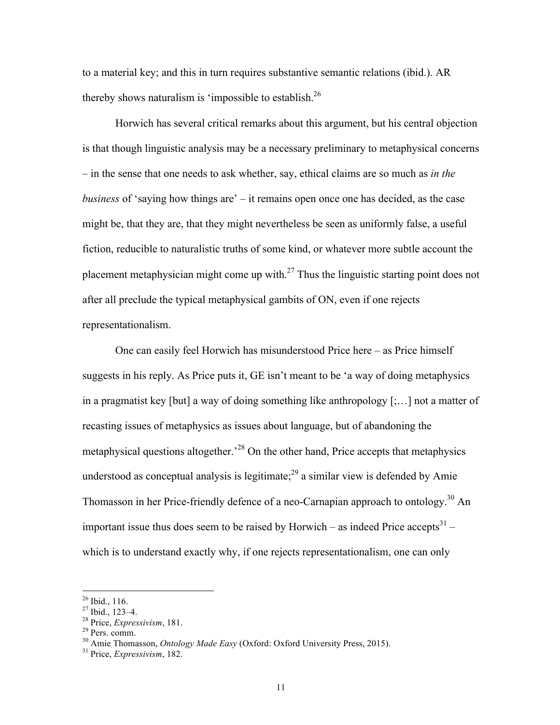to a material key; and this in turn requires substantive semantic relations (ibid.). AR thereby shows naturalism is 'impossible to establish.<sup>26</sup>

Horwich has several critical remarks about this argument, but his central objection is that though linguistic analysis may be a necessary preliminary to metaphysical concerns – in the sense that one needs to ask whether, say, ethical claims are so much as *in the business* of 'saying how things are' – it remains open once one has decided, as the case might be, that they are, that they might nevertheless be seen as uniformly false, a useful fiction, reducible to naturalistic truths of some kind, or whatever more subtle account the placement metaphysician might come up with. $^{27}$  Thus the linguistic starting point does not after all preclude the typical metaphysical gambits of ON, even if one rejects representationalism.

One can easily feel Horwich has misunderstood Price here – as Price himself suggests in his reply. As Price puts it, GE isn't meant to be 'a way of doing metaphysics in a pragmatist key [but] a way of doing something like anthropology [;…] not a matter of recasting issues of metaphysics as issues about language, but of abandoning the metaphysical questions altogether.<sup>28</sup> On the other hand, Price accepts that metaphysics understood as conceptual analysis is legitimate; $^{29}$  a similar view is defended by Amie Thomasson in her Price-friendly defence of a neo-Carnapian approach to ontology.<sup>30</sup> An important issue thus does seem to be raised by Horwich – as indeed Price accepts<sup>31</sup> – which is to understand exactly why, if one rejects representationalism, one can only

 $^{26}$  Ibid., 116.<br> $^{27}$  Ibid., 123–4.

<sup>&</sup>lt;sup>28</sup> Price, *Expressivism*, 181.<br><sup>29</sup> Pers. comm.

<sup>30</sup> Amie Thomasson, *Ontology Made Easy* (Oxford: Oxford University Press, 2015). 31 Price, *Expressivism*, 182.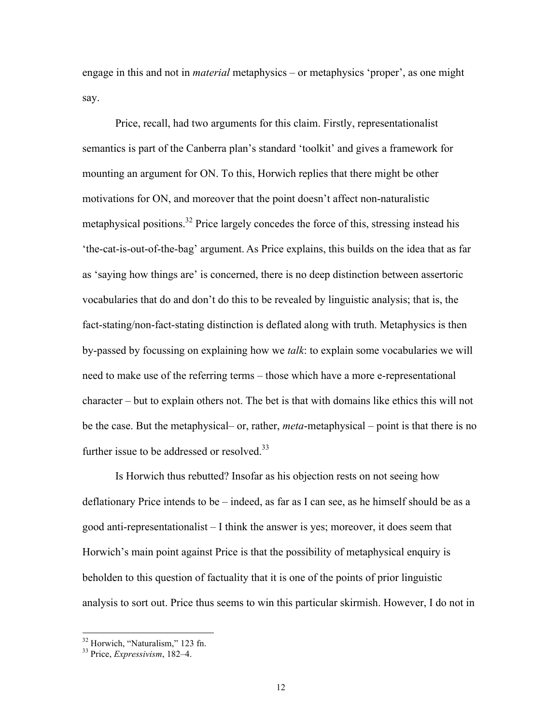engage in this and not in *material* metaphysics – or metaphysics 'proper', as one might say.

Price, recall, had two arguments for this claim. Firstly, representationalist semantics is part of the Canberra plan's standard 'toolkit' and gives a framework for mounting an argument for ON. To this, Horwich replies that there might be other motivations for ON, and moreover that the point doesn't affect non-naturalistic metaphysical positions.<sup>32</sup> Price largely concedes the force of this, stressing instead his 'the-cat-is-out-of-the-bag' argument. As Price explains, this builds on the idea that as far as 'saying how things are' is concerned, there is no deep distinction between assertoric vocabularies that do and don't do this to be revealed by linguistic analysis; that is, the fact-stating/non-fact-stating distinction is deflated along with truth. Metaphysics is then by-passed by focussing on explaining how we *talk*: to explain some vocabularies we will need to make use of the referring terms – those which have a more e-representational character – but to explain others not. The bet is that with domains like ethics this will not be the case. But the metaphysical– or, rather, *meta*-metaphysical – point is that there is no further issue to be addressed or resolved. $33$ 

Is Horwich thus rebutted? Insofar as his objection rests on not seeing how deflationary Price intends to be – indeed, as far as I can see, as he himself should be as a good anti-representationalist – I think the answer is yes; moreover, it does seem that Horwich's main point against Price is that the possibility of metaphysical enquiry is beholden to this question of factuality that it is one of the points of prior linguistic analysis to sort out. Price thus seems to win this particular skirmish. However, I do not in

 <sup>32</sup> Horwich, "Naturalism," 123 fn. 33 Price, *Expressivism*, 182–4.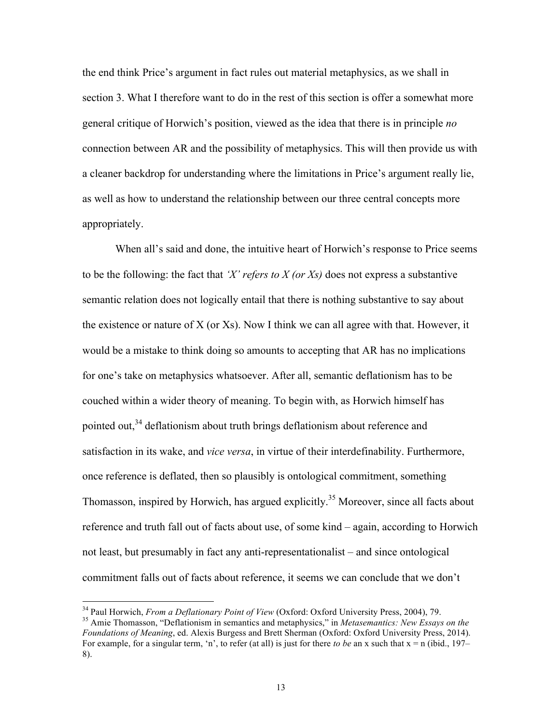the end think Price's argument in fact rules out material metaphysics, as we shall in section 3. What I therefore want to do in the rest of this section is offer a somewhat more general critique of Horwich's position, viewed as the idea that there is in principle *no* connection between AR and the possibility of metaphysics. This will then provide us with a cleaner backdrop for understanding where the limitations in Price's argument really lie, as well as how to understand the relationship between our three central concepts more appropriately.

When all's said and done, the intuitive heart of Horwich's response to Price seems to be the following: the fact that *'X' refers to X (or Xs)* does not express a substantive semantic relation does not logically entail that there is nothing substantive to say about the existence or nature of X (or Xs). Now I think we can all agree with that. However, it would be a mistake to think doing so amounts to accepting that AR has no implications for one's take on metaphysics whatsoever. After all, semantic deflationism has to be couched within a wider theory of meaning. To begin with, as Horwich himself has pointed out,<sup>34</sup> deflationism about truth brings deflationism about reference and satisfaction in its wake, and *vice versa*, in virtue of their interdefinability. Furthermore, once reference is deflated, then so plausibly is ontological commitment, something Thomasson, inspired by Horwich, has argued explicitly.<sup>35</sup> Moreover, since all facts about reference and truth fall out of facts about use, of some kind – again, according to Horwich not least, but presumably in fact any anti-representationalist – and since ontological commitment falls out of facts about reference, it seems we can conclude that we don't

<sup>&</sup>lt;sup>34</sup> Paul Horwich, *From a Deflationary Point of View* (Oxford: Oxford University Press, 2004), 79.<br><sup>35</sup> Amie Thomasson, "Deflationism in semantics and metaphysics," in *Metasemantics: New Essays on the* 

*Foundations of Meaning*, ed. Alexis Burgess and Brett Sherman (Oxford: Oxford University Press, 2014). For example, for a singular term, 'n', to refer (at all) is just for there *to be* an x such that  $x = n$  (ibid., 197– 8).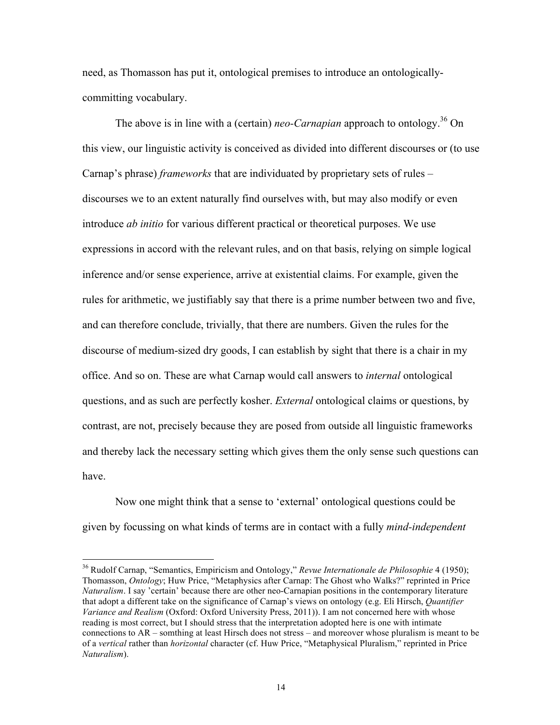need, as Thomasson has put it, ontological premises to introduce an ontologicallycommitting vocabulary.

The above is in line with a (certain) *neo-Carnapian* approach to ontology. 36 On this view, our linguistic activity is conceived as divided into different discourses or (to use Carnap's phrase) *frameworks* that are individuated by proprietary sets of rules – discourses we to an extent naturally find ourselves with, but may also modify or even introduce *ab initio* for various different practical or theoretical purposes. We use expressions in accord with the relevant rules, and on that basis, relying on simple logical inference and/or sense experience, arrive at existential claims. For example, given the rules for arithmetic, we justifiably say that there is a prime number between two and five, and can therefore conclude, trivially, that there are numbers. Given the rules for the discourse of medium-sized dry goods, I can establish by sight that there is a chair in my office. And so on. These are what Carnap would call answers to *internal* ontological questions, and as such are perfectly kosher. *External* ontological claims or questions, by contrast, are not, precisely because they are posed from outside all linguistic frameworks and thereby lack the necessary setting which gives them the only sense such questions can have.

Now one might think that a sense to 'external' ontological questions could be given by focussing on what kinds of terms are in contact with a fully *mind-independent* 

 <sup>36</sup> Rudolf Carnap, "Semantics, Empiricism and Ontology," *Revue Internationale de Philosophie* 4 (1950); Thomasson, *Ontology*; Huw Price, "Metaphysics after Carnap: The Ghost who Walks?" reprinted in Price *Naturalism*. I say 'certain' because there are other neo-Carnapian positions in the contemporary literature that adopt a different take on the significance of Carnap's views on ontology (e.g. Eli Hirsch, *Quantifier Variance and Realism* (Oxford: Oxford University Press, 2011)). I am not concerned here with whose reading is most correct, but I should stress that the interpretation adopted here is one with intimate connections to AR – somthing at least Hirsch does not stress – and moreover whose pluralism is meant to be of a *vertical* rather than *horizontal* character (cf. Huw Price, "Metaphysical Pluralism," reprinted in Price *Naturalism*).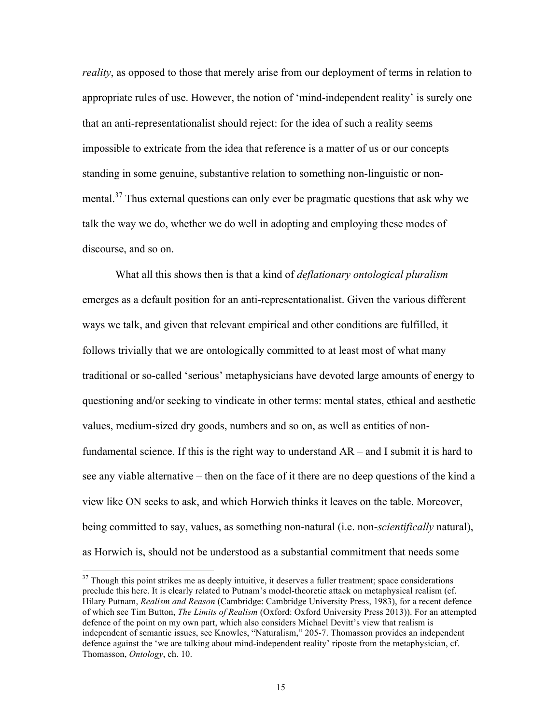*reality*, as opposed to those that merely arise from our deployment of terms in relation to appropriate rules of use. However, the notion of 'mind-independent reality' is surely one that an anti-representationalist should reject: for the idea of such a reality seems impossible to extricate from the idea that reference is a matter of us or our concepts standing in some genuine, substantive relation to something non-linguistic or nonmental.<sup>37</sup> Thus external questions can only ever be pragmatic questions that ask why we talk the way we do, whether we do well in adopting and employing these modes of discourse, and so on.

What all this shows then is that a kind of *deflationary ontological pluralism* emerges as a default position for an anti-representationalist. Given the various different ways we talk, and given that relevant empirical and other conditions are fulfilled, it follows trivially that we are ontologically committed to at least most of what many traditional or so-called 'serious' metaphysicians have devoted large amounts of energy to questioning and/or seeking to vindicate in other terms: mental states, ethical and aesthetic values, medium-sized dry goods, numbers and so on, as well as entities of nonfundamental science. If this is the right way to understand AR – and I submit it is hard to see any viable alternative – then on the face of it there are no deep questions of the kind a view like ON seeks to ask, and which Horwich thinks it leaves on the table. Moreover, being committed to say, values, as something non-natural (i.e. non-*scientifically* natural), as Horwich is, should not be understood as a substantial commitment that needs some

 $37$  Though this point strikes me as deeply intuitive, it deserves a fuller treatment; space considerations preclude this here. It is clearly related to Putnam's model-theoretic attack on metaphysical realism (cf. Hilary Putnam, *Realism and Reason* (Cambridge: Cambridge University Press, 1983), for a recent defence of which see Tim Button, *The Limits of Realism* (Oxford: Oxford University Press 2013)). For an attempted defence of the point on my own part, which also considers Michael Devitt's view that realism is independent of semantic issues, see Knowles, "Naturalism," 205-7. Thomasson provides an independent defence against the 'we are talking about mind-independent reality' riposte from the metaphysician, cf. Thomasson, *Ontology*, ch. 10.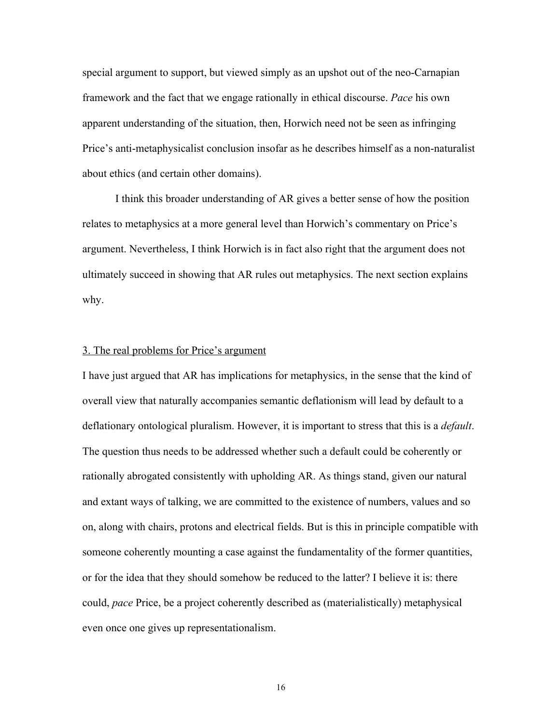special argument to support, but viewed simply as an upshot out of the neo-Carnapian framework and the fact that we engage rationally in ethical discourse. *Pace* his own apparent understanding of the situation, then, Horwich need not be seen as infringing Price's anti-metaphysicalist conclusion insofar as he describes himself as a non-naturalist about ethics (and certain other domains).

I think this broader understanding of AR gives a better sense of how the position relates to metaphysics at a more general level than Horwich's commentary on Price's argument. Nevertheless, I think Horwich is in fact also right that the argument does not ultimately succeed in showing that AR rules out metaphysics. The next section explains why.

#### 3. The real problems for Price's argument

I have just argued that AR has implications for metaphysics, in the sense that the kind of overall view that naturally accompanies semantic deflationism will lead by default to a deflationary ontological pluralism. However, it is important to stress that this is a *default*. The question thus needs to be addressed whether such a default could be coherently or rationally abrogated consistently with upholding AR. As things stand, given our natural and extant ways of talking, we are committed to the existence of numbers, values and so on, along with chairs, protons and electrical fields. But is this in principle compatible with someone coherently mounting a case against the fundamentality of the former quantities, or for the idea that they should somehow be reduced to the latter? I believe it is: there could, *pace* Price, be a project coherently described as (materialistically) metaphysical even once one gives up representationalism.

16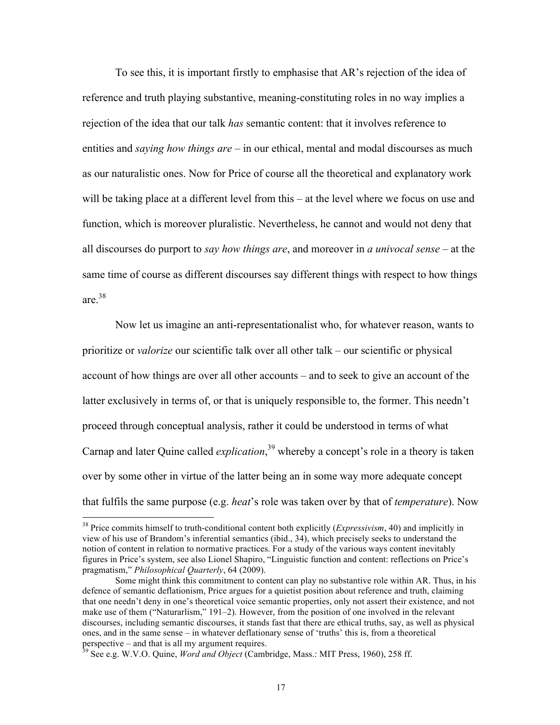To see this, it is important firstly to emphasise that AR's rejection of the idea of reference and truth playing substantive, meaning-constituting roles in no way implies a rejection of the idea that our talk *has* semantic content: that it involves reference to entities and *saying how things are* – in our ethical, mental and modal discourses as much as our naturalistic ones. Now for Price of course all the theoretical and explanatory work will be taking place at a different level from this – at the level where we focus on use and function, which is moreover pluralistic. Nevertheless, he cannot and would not deny that all discourses do purport to *say how things are*, and moreover in *a univocal sense* – at the same time of course as different discourses say different things with respect to how things are.<sup>38</sup>

Now let us imagine an anti-representationalist who, for whatever reason, wants to prioritize or *valorize* our scientific talk over all other talk – our scientific or physical account of how things are over all other accounts – and to seek to give an account of the latter exclusively in terms of, or that is uniquely responsible to, the former. This needn't proceed through conceptual analysis, rather it could be understood in terms of what Carnap and later Quine called *explication*, 39 whereby a concept's role in a theory is taken over by some other in virtue of the latter being an in some way more adequate concept that fulfils the same purpose (e.g. *heat*'s role was taken over by that of *temperature*). Now

 <sup>38</sup> Price commits himself to truth-conditional content both explicitly (*Expressivism*, 40) and implicitly in view of his use of Brandom's inferential semantics (ibid., 34), which precisely seeks to understand the notion of content in relation to normative practices. For a study of the various ways content inevitably figures in Price's system, see also Lionel Shapiro, "Linguistic function and content: reflections on Price's pragmatism," *Philosophical Quarterly*, 64 (2009).

Some might think this commitment to content can play no substantive role within AR. Thus, in his defence of semantic deflationism, Price argues for a quietist position about reference and truth, claiming that one needn't deny in one's theoretical voice semantic properties, only not assert their existence, and not make use of them ("Naturarlism," 191–2). However, from the position of one involved in the relevant discourses, including semantic discourses, it stands fast that there are ethical truths, say, as well as physical ones, and in the same sense – in whatever deflationary sense of 'truths' this is, from a theoretical perspective – and that is all my argument requires.

 $^9$  See e.g. W.V.O. Quine, *Word and Object* (Cambridge, Mass.: MIT Press, 1960), 258 ff.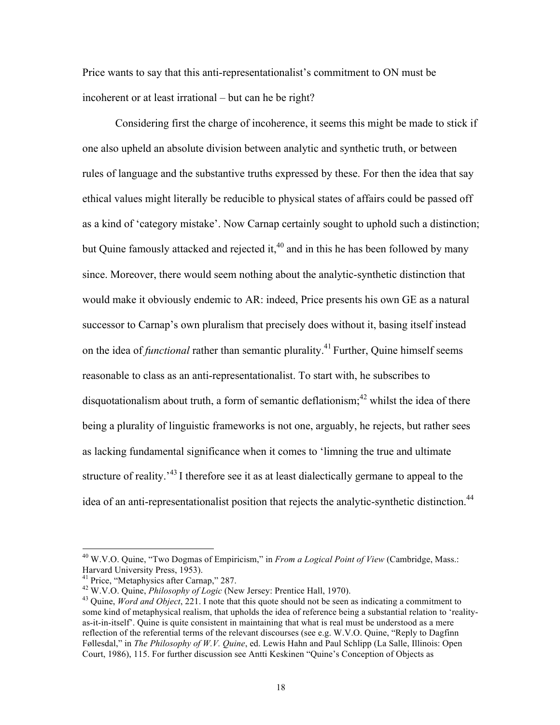Price wants to say that this anti-representationalist's commitment to ON must be incoherent or at least irrational – but can he be right?

Considering first the charge of incoherence, it seems this might be made to stick if one also upheld an absolute division between analytic and synthetic truth, or between rules of language and the substantive truths expressed by these. For then the idea that say ethical values might literally be reducible to physical states of affairs could be passed off as a kind of 'category mistake'. Now Carnap certainly sought to uphold such a distinction; but Quine famously attacked and rejected it,  $40$  and in this he has been followed by many since. Moreover, there would seem nothing about the analytic-synthetic distinction that would make it obviously endemic to AR: indeed, Price presents his own GE as a natural successor to Carnap's own pluralism that precisely does without it, basing itself instead on the idea of *functional* rather than semantic plurality.<sup>41</sup> Further, Quine himself seems reasonable to class as an anti-representationalist. To start with, he subscribes to disquotationalism about truth, a form of semantic deflationism;<sup>42</sup> whilst the idea of there being a plurality of linguistic frameworks is not one, arguably, he rejects, but rather sees as lacking fundamental significance when it comes to 'limning the true and ultimate structure of reality.<sup>43</sup> I therefore see it as at least dialectically germane to appeal to the idea of an anti-representationalist position that rejects the analytic-synthetic distinction.<sup>44</sup>

<sup>&</sup>lt;sup>40</sup> W.V.O. Quine, "Two Dogmas of Empiricism," in *From a Logical Point of View* (Cambridge, Mass.: Harvard University Press, 1953).

<sup>&</sup>lt;sup>41</sup> Price, "Metaphysics after Carnap," 287.<br><sup>42</sup> W.V.O. Quine, *Philosophy of Logic* (New Jersey: Prentice Hall, 1970).

<sup>&</sup>lt;sup>43</sup> Quine, *Word and Object*, 221. I note that this quote should not be seen as indicating a commitment to some kind of metaphysical realism, that upholds the idea of reference being a substantial relation to 'realityas-it-in-itself'. Quine is quite consistent in maintaining that what is real must be understood as a mere reflection of the referential terms of the relevant discourses (see e.g. W.V.O. Quine, "Reply to Dagfinn Føllesdal," in *The Philosophy of W.V. Quine*, ed. Lewis Hahn and Paul Schlipp (La Salle, Illinois: Open Court, 1986), 115. For further discussion see Antti Keskinen "Quine's Conception of Objects as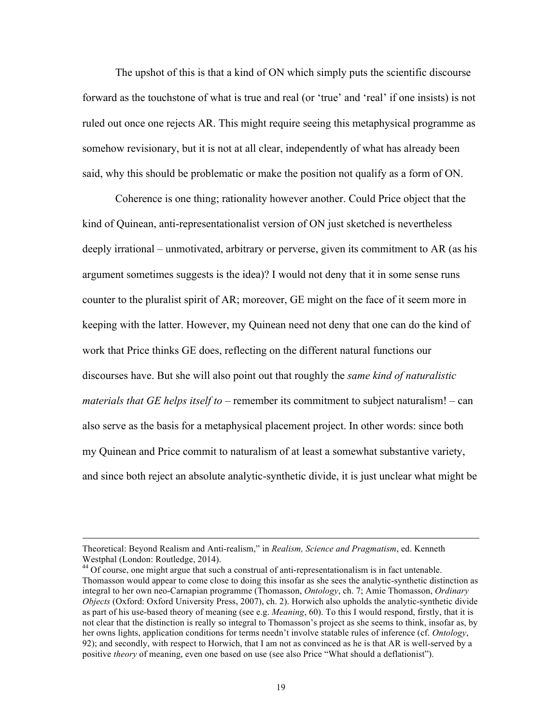The upshot of this is that a kind of ON which simply puts the scientific discourse forward as the touchstone of what is true and real (or 'true' and 'real' if one insists) is not ruled out once one rejects AR. This might require seeing this metaphysical programme as somehow revisionary, but it is not at all clear, independently of what has already been said, why this should be problematic or make the position not qualify as a form of ON.

Coherence is one thing; rationality however another. Could Price object that the kind of Quinean, anti-representationalist version of ON just sketched is nevertheless deeply irrational – unmotivated, arbitrary or perverse, given its commitment to AR (as his argument sometimes suggests is the idea)? I would not deny that it in some sense runs counter to the pluralist spirit of AR; moreover, GE might on the face of it seem more in keeping with the latter. However, my Quinean need not deny that one can do the kind of work that Price thinks GE does, reflecting on the different natural functions our discourses have. But she will also point out that roughly the *same kind of naturalistic materials that GE helps itself to* – remember its commitment to subject naturalism! – can also serve as the basis for a metaphysical placement project. In other words: since both my Quinean and Price commit to naturalism of at least a somewhat substantive variety, and since both reject an absolute analytic-synthetic divide, it is just unclear what might be

Theoretical: Beyond Realism and Anti-realism," in *Realism, Science and Pragmatism*, ed. Kenneth Westphal (London: Routledge, 2014).

<sup>&</sup>lt;sup>44</sup> Of course, one might argue that such a construal of anti-representationalism is in fact untenable. Thomasson would appear to come close to doing this insofar as she sees the analytic-synthetic distinction as integral to her own neo-Carnapian programme (Thomasson, *Ontology*, ch. 7; Amie Thomasson, *Ordinary Objects* (Oxford: Oxford University Press, 2007), ch. 2). Horwich also upholds the analytic-synthetic divide as part of his use-based theory of meaning (see e.g. *Meaning*, 60). To this I would respond, firstly, that it is not clear that the distinction is really so integral to Thomasson's project as she seems to think, insofar as, by her owns lights, application conditions for terms needn't involve statable rules of inference (cf. *Ontology*, 92); and secondly, with respect to Horwich, that I am not as convinced as he is that AR is well-served by a positive *theory* of meaning, even one based on use (see also Price "What should a deflationist").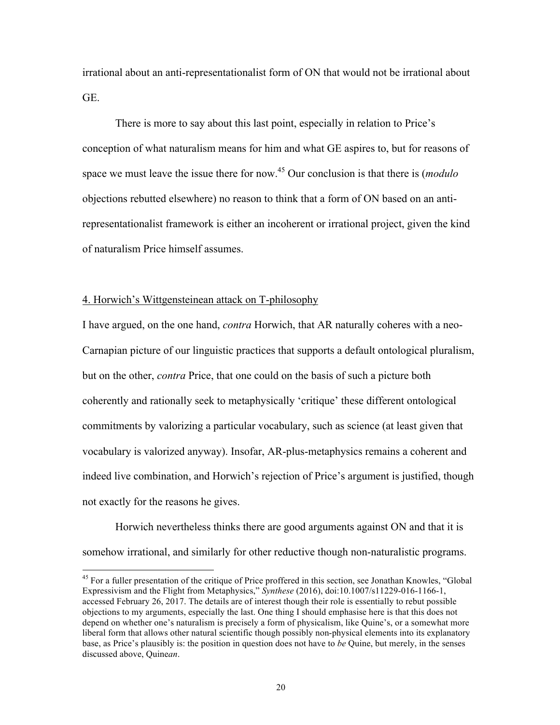irrational about an anti-representationalist form of ON that would not be irrational about GE.

There is more to say about this last point, especially in relation to Price's conception of what naturalism means for him and what GE aspires to, but for reasons of space we must leave the issue there for now.<sup>45</sup> Our conclusion is that there is *(modulo*) objections rebutted elsewhere) no reason to think that a form of ON based on an antirepresentationalist framework is either an incoherent or irrational project, given the kind of naturalism Price himself assumes.

## 4. Horwich's Wittgensteinean attack on T-philosophy

I have argued, on the one hand, *contra* Horwich, that AR naturally coheres with a neo-Carnapian picture of our linguistic practices that supports a default ontological pluralism, but on the other, *contra* Price, that one could on the basis of such a picture both coherently and rationally seek to metaphysically 'critique' these different ontological commitments by valorizing a particular vocabulary, such as science (at least given that vocabulary is valorized anyway). Insofar, AR-plus-metaphysics remains a coherent and indeed live combination, and Horwich's rejection of Price's argument is justified, though not exactly for the reasons he gives.

Horwich nevertheless thinks there are good arguments against ON and that it is somehow irrational, and similarly for other reductive though non-naturalistic programs.

 $45$  For a fuller presentation of the critique of Price proffered in this section, see Jonathan Knowles, "Global" Expressivism and the Flight from Metaphysics," *Synthese* (2016), doi:10.1007/s11229-016-1166-1, accessed February 26, 2017. The details are of interest though their role is essentially to rebut possible objections to my arguments, especially the last. One thing I should emphasise here is that this does not depend on whether one's naturalism is precisely a form of physicalism, like Quine's, or a somewhat more liberal form that allows other natural scientific though possibly non-physical elements into its explanatory base, as Price's plausibly is: the position in question does not have to *be* Quine, but merely, in the senses discussed above, Quine*an*.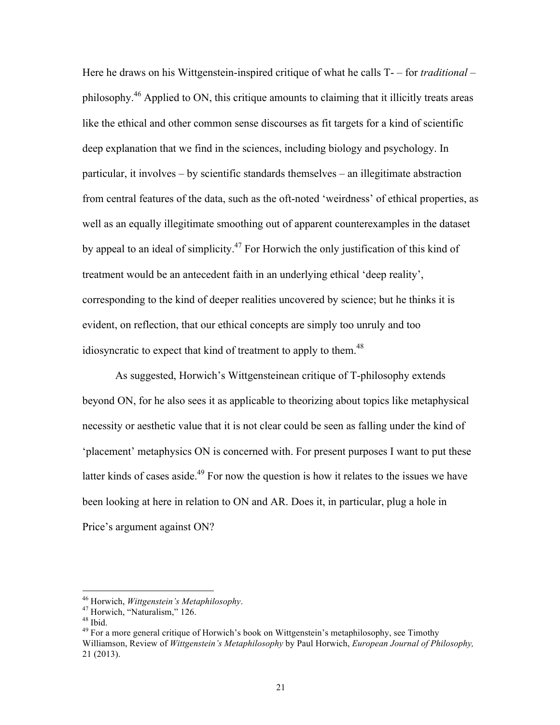Here he draws on his Wittgenstein-inspired critique of what he calls T- – for *traditional* – philosophy.<sup>46</sup> Applied to ON, this critique amounts to claiming that it illicitly treats areas like the ethical and other common sense discourses as fit targets for a kind of scientific deep explanation that we find in the sciences, including biology and psychology. In particular, it involves – by scientific standards themselves – an illegitimate abstraction from central features of the data, such as the oft-noted 'weirdness' of ethical properties, as well as an equally illegitimate smoothing out of apparent counterexamples in the dataset by appeal to an ideal of simplicity.<sup>47</sup> For Horwich the only justification of this kind of treatment would be an antecedent faith in an underlying ethical 'deep reality', corresponding to the kind of deeper realities uncovered by science; but he thinks it is evident, on reflection, that our ethical concepts are simply too unruly and too idiosyncratic to expect that kind of treatment to apply to them.<sup>48</sup>

As suggested, Horwich's Wittgensteinean critique of T-philosophy extends beyond ON, for he also sees it as applicable to theorizing about topics like metaphysical necessity or aesthetic value that it is not clear could be seen as falling under the kind of 'placement' metaphysics ON is concerned with. For present purposes I want to put these latter kinds of cases aside.<sup>49</sup> For now the question is how it relates to the issues we have been looking at here in relation to ON and AR. Does it, in particular, plug a hole in Price's argument against ON?

<sup>49</sup> For a more general critique of Horwich's book on Wittgenstein's metaphilosophy, see Timothy Williamson, Review of *Wittgenstein's Metaphilosophy* by Paul Horwich, *European Journal of Philosophy,* 21 (2013).

 <sup>46</sup> Horwich, *Wittgenstein's Metaphilosophy*. 47 Horwich, "Naturalism," 126.

<sup>48</sup> Ibid.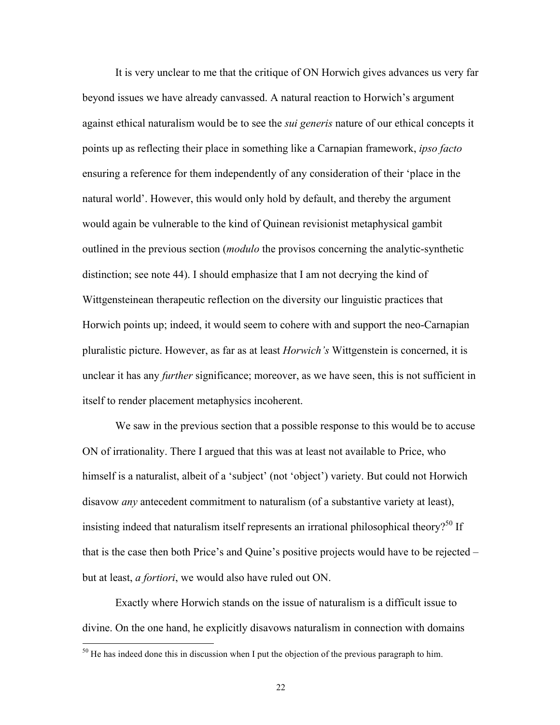It is very unclear to me that the critique of ON Horwich gives advances us very far beyond issues we have already canvassed. A natural reaction to Horwich's argument against ethical naturalism would be to see the *sui generis* nature of our ethical concepts it points up as reflecting their place in something like a Carnapian framework, *ipso facto* ensuring a reference for them independently of any consideration of their 'place in the natural world'. However, this would only hold by default, and thereby the argument would again be vulnerable to the kind of Quinean revisionist metaphysical gambit outlined in the previous section (*modulo* the provisos concerning the analytic-synthetic distinction; see note 44). I should emphasize that I am not decrying the kind of Wittgensteinean therapeutic reflection on the diversity our linguistic practices that Horwich points up; indeed, it would seem to cohere with and support the neo-Carnapian pluralistic picture. However, as far as at least *Horwich's* Wittgenstein is concerned, it is unclear it has any *further* significance; moreover, as we have seen, this is not sufficient in itself to render placement metaphysics incoherent.

We saw in the previous section that a possible response to this would be to accuse ON of irrationality. There I argued that this was at least not available to Price, who himself is a naturalist, albeit of a 'subject' (not 'object') variety. But could not Horwich disavow *any* antecedent commitment to naturalism (of a substantive variety at least), insisting indeed that naturalism itself represents an irrational philosophical theory?<sup>50</sup> If that is the case then both Price's and Quine's positive projects would have to be rejected – but at least, *a fortiori*, we would also have ruled out ON.

Exactly where Horwich stands on the issue of naturalism is a difficult issue to divine. On the one hand, he explicitly disavows naturalism in connection with domains

 $50$  He has indeed done this in discussion when I put the objection of the previous paragraph to him.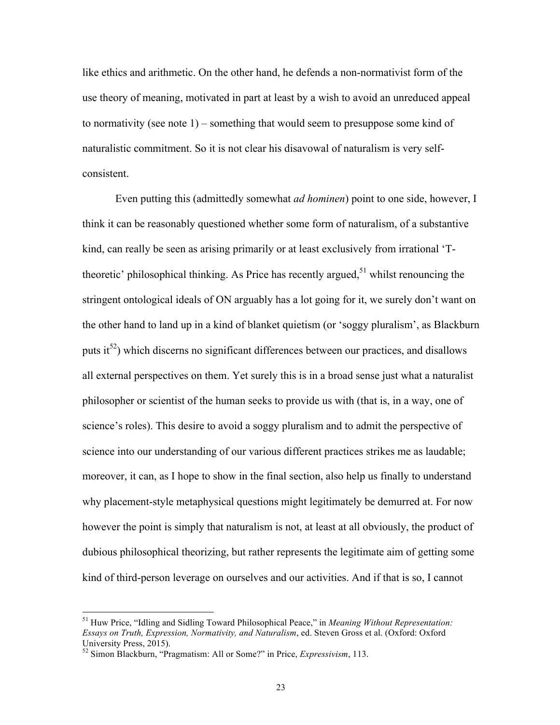like ethics and arithmetic. On the other hand, he defends a non-normativist form of the use theory of meaning, motivated in part at least by a wish to avoid an unreduced appeal to normativity (see note 1) – something that would seem to presuppose some kind of naturalistic commitment. So it is not clear his disavowal of naturalism is very selfconsistent.

Even putting this (admittedly somewhat *ad hominen*) point to one side, however, I think it can be reasonably questioned whether some form of naturalism, of a substantive kind, can really be seen as arising primarily or at least exclusively from irrational 'Ttheoretic' philosophical thinking. As Price has recently argued,<sup>51</sup> whilst renouncing the stringent ontological ideals of ON arguably has a lot going for it, we surely don't want on the other hand to land up in a kind of blanket quietism (or 'soggy pluralism', as Blackburn puts it<sup>52</sup>) which discerns no significant differences between our practices, and disallows all external perspectives on them. Yet surely this is in a broad sense just what a naturalist philosopher or scientist of the human seeks to provide us with (that is, in a way, one of science's roles). This desire to avoid a soggy pluralism and to admit the perspective of science into our understanding of our various different practices strikes me as laudable; moreover, it can, as I hope to show in the final section, also help us finally to understand why placement-style metaphysical questions might legitimately be demurred at. For now however the point is simply that naturalism is not, at least at all obviously, the product of dubious philosophical theorizing, but rather represents the legitimate aim of getting some kind of third-person leverage on ourselves and our activities. And if that is so, I cannot

 <sup>51</sup> Huw Price, "Idling and Sidling Toward Philosophical Peace," in *Meaning Without Representation: Essays on Truth, Expression, Normativity, and Naturalism*, ed. Steven Gross et al. (Oxford: Oxford University Press, 2015).

<sup>52</sup> Simon Blackburn, "Pragmatism: All or Some?" in Price, *Expressivism*, 113.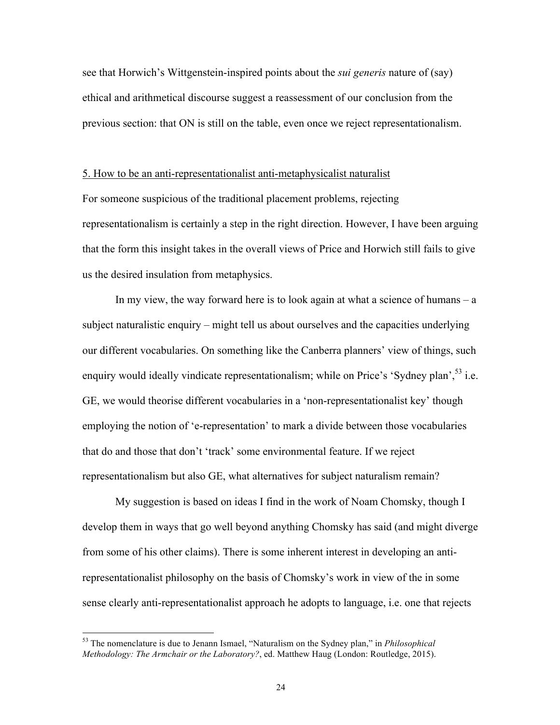see that Horwich's Wittgenstein-inspired points about the *sui generis* nature of (say) ethical and arithmetical discourse suggest a reassessment of our conclusion from the previous section: that ON is still on the table, even once we reject representationalism.

## 5. How to be an anti-representationalist anti-metaphysicalist naturalist

For someone suspicious of the traditional placement problems, rejecting representationalism is certainly a step in the right direction. However, I have been arguing that the form this insight takes in the overall views of Price and Horwich still fails to give us the desired insulation from metaphysics.

In my view, the way forward here is to look again at what a science of humans  $-a$ subject naturalistic enquiry – might tell us about ourselves and the capacities underlying our different vocabularies. On something like the Canberra planners' view of things, such enquiry would ideally vindicate representationalism; while on Price's 'Sydney plan',<sup>53</sup> i.e. GE, we would theorise different vocabularies in a 'non-representationalist key' though employing the notion of 'e-representation' to mark a divide between those vocabularies that do and those that don't 'track' some environmental feature. If we reject representationalism but also GE, what alternatives for subject naturalism remain?

My suggestion is based on ideas I find in the work of Noam Chomsky, though I develop them in ways that go well beyond anything Chomsky has said (and might diverge from some of his other claims). There is some inherent interest in developing an antirepresentationalist philosophy on the basis of Chomsky's work in view of the in some sense clearly anti-representationalist approach he adopts to language, i.e. one that rejects

 <sup>53</sup> The nomenclature is due to Jenann Ismael, "Naturalism on the Sydney plan," in *Philosophical Methodology: The Armchair or the Laboratory?*, ed. Matthew Haug (London: Routledge, 2015).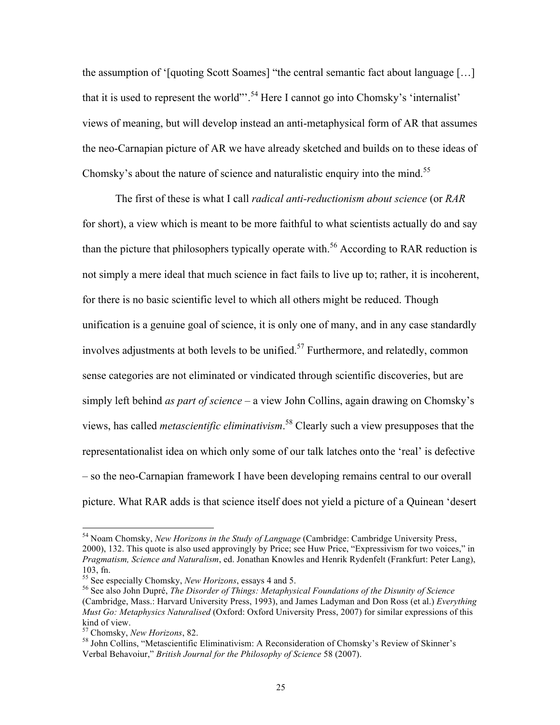the assumption of '[quoting Scott Soames] "the central semantic fact about language […] that it is used to represent the world"<sup>34</sup> Here I cannot go into Chomsky's 'internalist' views of meaning, but will develop instead an anti-metaphysical form of AR that assumes the neo-Carnapian picture of AR we have already sketched and builds on to these ideas of Chomsky's about the nature of science and naturalistic enquiry into the mind.<sup>55</sup>

The first of these is what I call *radical anti-reductionism about science* (or *RAR*  for short), a view which is meant to be more faithful to what scientists actually do and say than the picture that philosophers typically operate with.<sup>56</sup> According to RAR reduction is not simply a mere ideal that much science in fact fails to live up to; rather, it is incoherent, for there is no basic scientific level to which all others might be reduced. Though unification is a genuine goal of science, it is only one of many, and in any case standardly involves adjustments at both levels to be unified.<sup>57</sup> Furthermore, and relatedly, common sense categories are not eliminated or vindicated through scientific discoveries, but are simply left behind *as part of science* – a view John Collins, again drawing on Chomsky's views, has called *metascientific eliminativism*. 58 Clearly such a view presupposes that the representationalist idea on which only some of our talk latches onto the 'real' is defective – so the neo-Carnapian framework I have been developing remains central to our overall picture. What RAR adds is that science itself does not yield a picture of a Quinean 'desert

 <sup>54</sup> Noam Chomsky, *New Horizons in the Study of Language* (Cambridge: Cambridge University Press, 2000), 132. This quote is also used approvingly by Price; see Huw Price, "Expressivism for two voices," in *Pragmatism, Science and Naturalism*, ed. Jonathan Knowles and Henrik Rydenfelt (Frankfurt: Peter Lang), 103, fn.<br><sup>55</sup> See especially Chomsky, *New Horizons*, essays 4 and 5.<br><sup>56</sup> See also John Dupré, *The Disorder of Things: Metaphysical Foundations of the Disunity of Science* 

<sup>(</sup>Cambridge, Mass.: Harvard University Press, 1993), and James Ladyman and Don Ross (et al.) *Everything Must Go: Metaphysics Naturalised* (Oxford: Oxford University Press, 2007) for similar expressions of this kind of view.<br><sup>57</sup> Chomsky, *New Horizons*, 82.

<sup>&</sup>lt;sup>58</sup> John Collins, "Metascientific Eliminativism: A Reconsideration of Chomsky's Review of Skinner's Verbal Behavoiur," *British Journal for the Philosophy of Science* 58 (2007).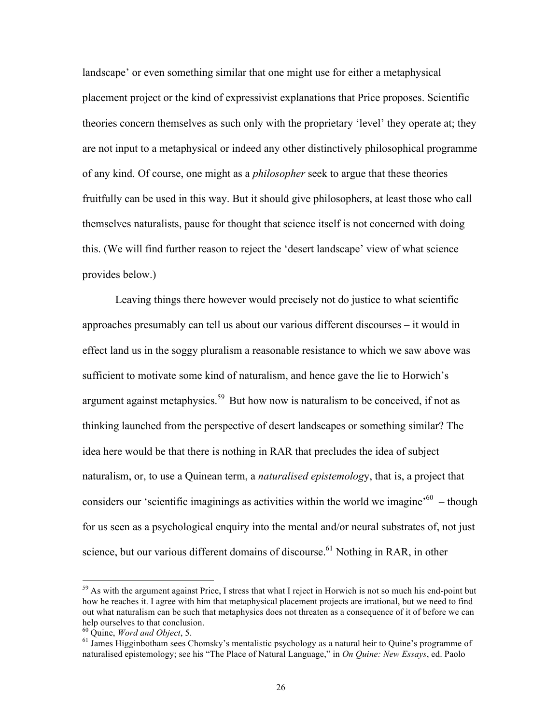landscape' or even something similar that one might use for either a metaphysical placement project or the kind of expressivist explanations that Price proposes. Scientific theories concern themselves as such only with the proprietary 'level' they operate at; they are not input to a metaphysical or indeed any other distinctively philosophical programme of any kind. Of course, one might as a *philosopher* seek to argue that these theories fruitfully can be used in this way. But it should give philosophers, at least those who call themselves naturalists, pause for thought that science itself is not concerned with doing this. (We will find further reason to reject the 'desert landscape' view of what science provides below.)

Leaving things there however would precisely not do justice to what scientific approaches presumably can tell us about our various different discourses – it would in effect land us in the soggy pluralism a reasonable resistance to which we saw above was sufficient to motivate some kind of naturalism, and hence gave the lie to Horwich's argument against metaphysics.<sup>59</sup> But how now is naturalism to be conceived, if not as thinking launched from the perspective of desert landscapes or something similar? The idea here would be that there is nothing in RAR that precludes the idea of subject naturalism, or, to use a Quinean term, a *naturalised epistemolog*y, that is, a project that considers our 'scientific imaginings as activities within the world we imagine<sup> $60$ </sup> – though for us seen as a psychological enquiry into the mental and/or neural substrates of, not just science, but our various different domains of discourse.<sup>61</sup> Nothing in RAR, in other

<sup>&</sup>lt;sup>59</sup> As with the argument against Price, I stress that what I reject in Horwich is not so much his end-point but how he reaches it. I agree with him that metaphysical placement projects are irrational, but we need to find out what naturalism can be such that metaphysics does not threaten as a consequence of it of before we can help ourselves to that conclusion.<br><sup>60</sup> Quine, *Word and Object*, 5.

<sup>&</sup>lt;sup>61</sup> James Higginbotham sees Chomsky's mentalistic psychology as a natural heir to Quine's programme of naturalised epistemology; see his "The Place of Natural Language," in *On Quine: New Essays*, ed. Paolo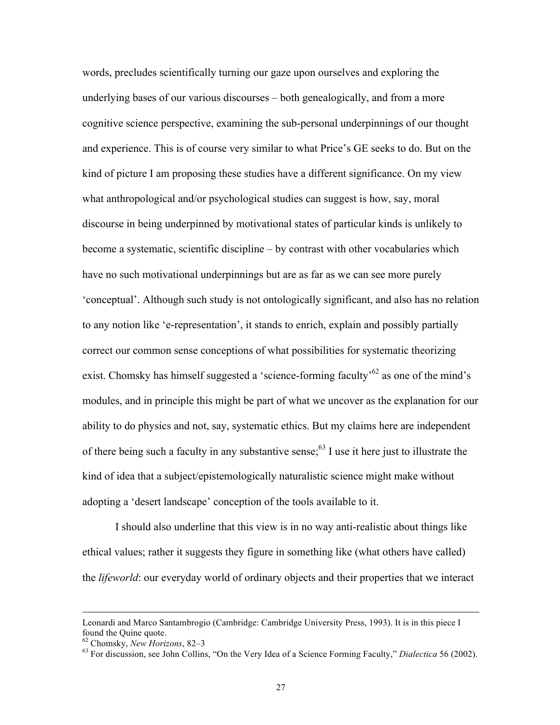words, precludes scientifically turning our gaze upon ourselves and exploring the underlying bases of our various discourses – both genealogically, and from a more cognitive science perspective, examining the sub-personal underpinnings of our thought and experience. This is of course very similar to what Price's GE seeks to do. But on the kind of picture I am proposing these studies have a different significance. On my view what anthropological and/or psychological studies can suggest is how, say, moral discourse in being underpinned by motivational states of particular kinds is unlikely to become a systematic, scientific discipline – by contrast with other vocabularies which have no such motivational underpinnings but are as far as we can see more purely 'conceptual'. Although such study is not ontologically significant, and also has no relation to any notion like 'e-representation', it stands to enrich, explain and possibly partially correct our common sense conceptions of what possibilities for systematic theorizing exist. Chomsky has himself suggested a 'science-forming faculty'<sup>62</sup> as one of the mind's modules, and in principle this might be part of what we uncover as the explanation for our ability to do physics and not, say, systematic ethics. But my claims here are independent of there being such a faculty in any substantive sense; $^{63}$  I use it here just to illustrate the kind of idea that a subject/epistemologically naturalistic science might make without adopting a 'desert landscape' conception of the tools available to it.

I should also underline that this view is in no way anti-realistic about things like ethical values; rather it suggests they figure in something like (what others have called) the *lifeworld*: our everyday world of ordinary objects and their properties that we interact

 $\overline{a}$ 

Leonardi and Marco Santambrogio (Cambridge: Cambridge University Press, 1993). It is in this piece I found the Quine quote.

<sup>&</sup>lt;sup>62</sup> Chomsky, *New Horizons*, 82–3<br><sup>63</sup> For discussion, see John Collins, "On the Very Idea of a Science Forming Faculty," *Dialectica* 56 (2002).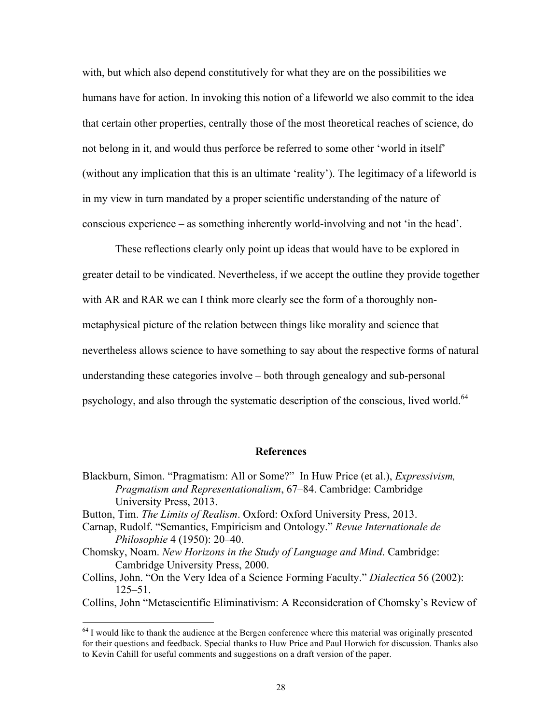with, but which also depend constitutively for what they are on the possibilities we humans have for action. In invoking this notion of a lifeworld we also commit to the idea that certain other properties, centrally those of the most theoretical reaches of science, do not belong in it, and would thus perforce be referred to some other 'world in itself' (without any implication that this is an ultimate 'reality'). The legitimacy of a lifeworld is in my view in turn mandated by a proper scientific understanding of the nature of conscious experience – as something inherently world-involving and not 'in the head'.

These reflections clearly only point up ideas that would have to be explored in greater detail to be vindicated. Nevertheless, if we accept the outline they provide together with AR and RAR we can I think more clearly see the form of a thoroughly nonmetaphysical picture of the relation between things like morality and science that nevertheless allows science to have something to say about the respective forms of natural understanding these categories involve – both through genealogy and sub-personal psychology, and also through the systematic description of the conscious, lived world.<sup>64</sup>

#### **References**

- Blackburn, Simon. "Pragmatism: All or Some?" In Huw Price (et al.), *Expressivism, Pragmatism and Representationalism*, 67–84. Cambridge: Cambridge University Press, 2013.
- Button, Tim. *The Limits of Realism*. Oxford: Oxford University Press, 2013.
- Carnap, Rudolf. "Semantics, Empiricism and Ontology." *Revue Internationale de Philosophie* 4 (1950): 20–40.
- Chomsky, Noam. *New Horizons in the Study of Language and Mind*. Cambridge: Cambridge University Press, 2000.
- Collins, John. "On the Very Idea of a Science Forming Faculty." *Dialectica* 56 (2002): 125–51.

Collins, John "Metascientific Eliminativism: A Reconsideration of Chomsky's Review of

<sup>&</sup>lt;sup>64</sup> I would like to thank the audience at the Bergen conference where this material was originally presented for their questions and feedback. Special thanks to Huw Price and Paul Horwich for discussion. Thanks also to Kevin Cahill for useful comments and suggestions on a draft version of the paper.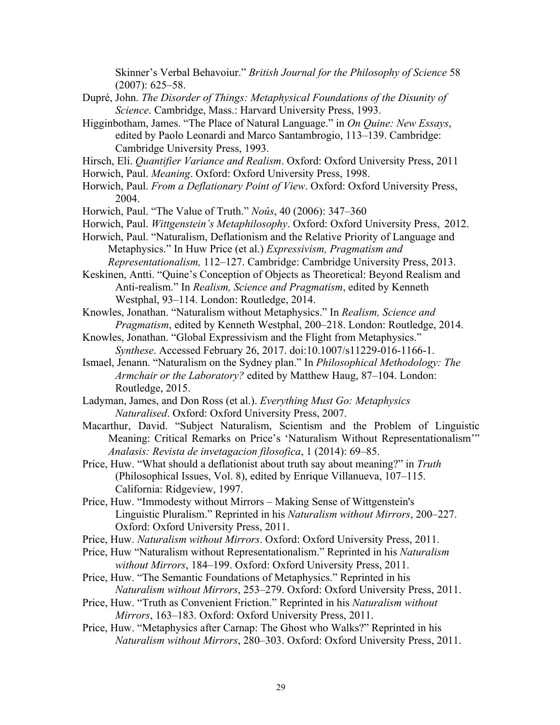Skinner's Verbal Behavoiur." *British Journal for the Philosophy of Science* 58 (2007): 625–58.

- Dupré, John. *The Disorder of Things: Metaphysical Foundations of the Disunity of Science*. Cambridge, Mass.: Harvard University Press, 1993.
- Higginbotham, James. "The Place of Natural Language." in *On Quine: New Essays*, edited by Paolo Leonardi and Marco Santambrogio, 113–139. Cambridge: Cambridge University Press, 1993.
- Hirsch, Eli. *Quantifier Variance and Realism*. Oxford: Oxford University Press, 2011
- Horwich, Paul. *Meaning*. Oxford: Oxford University Press, 1998.
- Horwich, Paul. *From a Deflationary Point of View*. Oxford: Oxford University Press, 2004.
- Horwich, Paul. "The Value of Truth." *Noûs*, 40 (2006): 347–360
- Horwich, Paul. *Wittgenstein's Metaphilosophy*. Oxford: Oxford University Press, 2012.
- Horwich, Paul. "Naturalism, Deflationism and the Relative Priority of Language and Metaphysics." In Huw Price (et al.) *Expressivism, Pragmatism and Representationalism,* 112–127. Cambridge: Cambridge University Press, 2013.
- Keskinen, Antti. "Quine's Conception of Objects as Theoretical: Beyond Realism and Anti-realism." In *Realism, Science and Pragmatism*, edited by Kenneth Westphal, 93–114. London: Routledge, 2014.
- Knowles, Jonathan. "Naturalism without Metaphysics." In *Realism, Science and Pragmatism*, edited by Kenneth Westphal, 200–218. London: Routledge, 2014.
- Knowles, Jonathan. "Global Expressivism and the Flight from Metaphysics." *Synthese*. Accessed February 26, 2017. doi:10.1007/s11229-016-1166-1.
- Ismael, Jenann. "Naturalism on the Sydney plan." In *Philosophical Methodology: The Armchair or the Laboratory?* edited by Matthew Haug, 87–104. London: Routledge, 2015.
- Ladyman, James, and Don Ross (et al.). *Everything Must Go: Metaphysics Naturalised*. Oxford: Oxford University Press, 2007.
- Macarthur, David. "Subject Naturalism, Scientism and the Problem of Linguistic Meaning: Critical Remarks on Price's 'Naturalism Without Representationalism'" *Analasis: Revista de invetagacion filosofica*, 1 (2014): 69–85.
- Price, Huw. "What should a deflationist about truth say about meaning?" in *Truth* (Philosophical Issues, Vol. 8), edited by Enrique Villanueva, 107–115. California: Ridgeview, 1997.
- Price, Huw. "Immodesty without Mirrors Making Sense of Wittgenstein's Linguistic Pluralism." Reprinted in his *Naturalism without Mirrors*, 200–227. Oxford: Oxford University Press, 2011.
- Price, Huw. *Naturalism without Mirrors*. Oxford: Oxford University Press, 2011.
- Price, Huw "Naturalism without Representationalism." Reprinted in his *Naturalism without Mirrors*, 184–199. Oxford: Oxford University Press, 2011.
- Price, Huw. "The Semantic Foundations of Metaphysics." Reprinted in his *Naturalism without Mirrors*, 253–279. Oxford: Oxford University Press, 2011.
- Price, Huw. "Truth as Convenient Friction." Reprinted in his *Naturalism without Mirrors*, 163–183. Oxford: Oxford University Press, 2011.
- Price, Huw. "Metaphysics after Carnap: The Ghost who Walks?" Reprinted in his *Naturalism without Mirrors*, 280–303. Oxford: Oxford University Press, 2011.